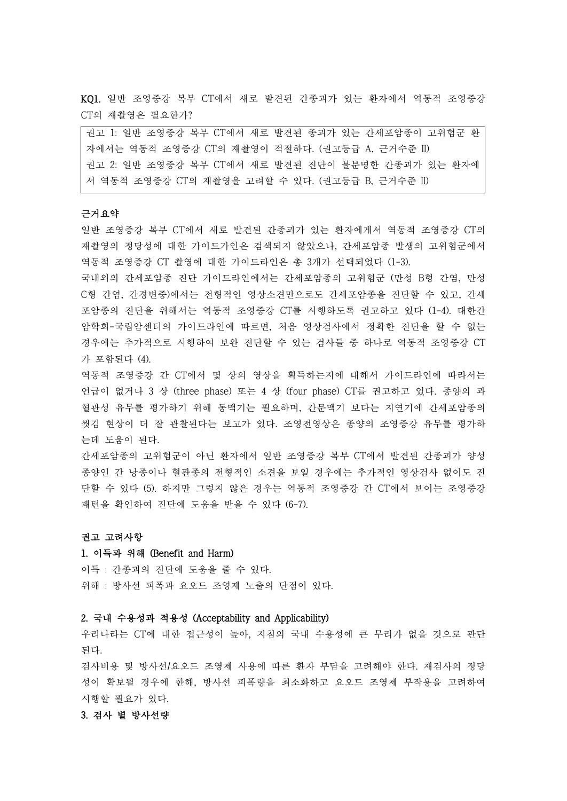KQ1. 일반 조영증강 복부 CT에서 새로 발견된 간종괴가 있는 환자에서 역동적 조영증강 CT의 재촬영은 필요한가?

권고 1: 일반 조영증강 복부 CT에서 새로 발견된 종괴가 있는 간세포암종이 고위험군 환 자에서는 역동적 조영증강 CT의 재촬영이 적절하다. (권고등급 A, 근거수준 II) 권고 2: 일반 조영증강 복부 CT에서 새로 발견된 진단이 불분명한 간종괴가 있는 환자에 서 역동적 조영증강 CT의 재촬영을 고려할 수 있다. (권고등급 B, 근거수준 II)

### 근거요약

일반 조영증강 복부 CT에서 새로 발견된 간종괴가 있는 환자에게서 역동적 조영증강 CT의 재촬영의 정당성에 대한 가이드가인은 검색되지 않았으나, 간세포암종 발생의 고위험군에서 역동적 조영증강 CT 촬영에 대한 가이드라인은 총 3개가 선택되었다 (1-3).

국내외의 간세포암종 진단 가이드라인에서는 간세포암종의 고위험군 (만성 B형 간염, 만성 C형 간염, 간경변증)에서는 전형적인 영상소견만으로도 간세포암종을 진단할 수 있고, 간세 포암종의 진단을 위해서는 역동적 조영증강 CT를 시행하도록 권고하고 있다 (1-4). 대한간 암학회-국립암센터의 가이드라인에 따르면, 처음 영상검사에서 정확한 진단을 할 수 없는 경우에는 추가적으로 시행하여 보완 진단할 수 있는 검사들 중 하나로 역동적 조영증강 CT 가 포함된다 (4).

역동적 조영증강 간 CT에서 몇 상의 영상을 획득하는지에 대해서 가이드라인에 따라서는 언급이 없거나 3 상 (three phase) 또는 4 상 (four phase) CT를 권고하고 있다. 종양의 과 혈관성 유무를 평가하기 위해 동맥기는 필요하며, 간문맥기 보다는 지연기에 간세포암종의 씻김 현상이 더 잘 관찰된다는 보고가 있다. 조영전영상은 종양의 조영증강 유무를 평가하 는데 도움이 된다.<br>간세포암종의 고위험군이 아닌 환자에서 일반 조영증강 복부 CT에서 발견된 간종괴가 양성

종양인 간 낭종이나 혈관종의 전형적인 소견을 보일 경우에는 추가적인 영상검사 없이도 진 단할 수 있다 (5). 하지만 그렇지 않은 경우는 역동적 조영증강 간 CT에서 보이는 조영증강 패턴을 확인하여 진단에 도움을 받을 수 있다 (6-7).

#### 권고 고려사항

## 1. 이득과 위해 (Benefit and Harm)

이득 : 간종괴의 진단에 도움을 줄 수 있다.<br>위해 : 방사선 피폭과 요오드 조영제 노출의 단점이 있다.

# 2. 국내 수용성과 적용성 (Acceptability and Applicability)

우리나라는 CT에 대한 접근성이 높아, 지침의 국내 수용성에 큰 무리가 없을 것으로 판단 된다.<br>검사비용 및 방사선/요오드 조영제 사용에 따른 환자 부담을 고려해야 한다. 재검사의 정당

성이 확보될 경우에 한해, 방사선 피폭량을 최소화하고 요오드 조영제 부작용을 고려하여 시행할 필요가 있다.

# 3. 검사 별 방사선량